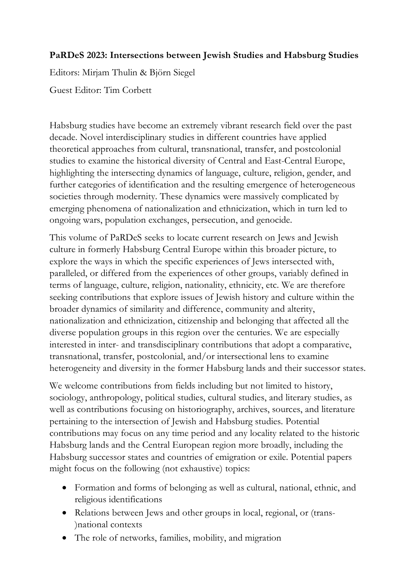## **PaRDeS 2023: Intersections between Jewish Studies and Habsburg Studies**

Editors: Mirjam Thulin & Björn Siegel

Guest Editor: Tim Corbett

Habsburg studies have become an extremely vibrant research field over the past decade. Novel interdisciplinary studies in different countries have applied theoretical approaches from cultural, transnational, transfer, and postcolonial studies to examine the historical diversity of Central and East-Central Europe, highlighting the intersecting dynamics of language, culture, religion, gender, and further categories of identification and the resulting emergence of heterogeneous societies through modernity. These dynamics were massively complicated by emerging phenomena of nationalization and ethnicization, which in turn led to ongoing wars, population exchanges, persecution, and genocide.

This volume of PaRDeS seeks to locate current research on Jews and Jewish culture in formerly Habsburg Central Europe within this broader picture, to explore the ways in which the specific experiences of Jews intersected with, paralleled, or differed from the experiences of other groups, variably defined in terms of language, culture, religion, nationality, ethnicity, etc. We are therefore seeking contributions that explore issues of Jewish history and culture within the broader dynamics of similarity and difference, community and alterity, nationalization and ethnicization, citizenship and belonging that affected all the diverse population groups in this region over the centuries. We are especially interested in inter- and transdisciplinary contributions that adopt a comparative, transnational, transfer, postcolonial, and/or intersectional lens to examine heterogeneity and diversity in the former Habsburg lands and their successor states.

We welcome contributions from fields including but not limited to history, sociology, anthropology, political studies, cultural studies, and literary studies, as well as contributions focusing on historiography, archives, sources, and literature pertaining to the intersection of Jewish and Habsburg studies. Potential contributions may focus on any time period and any locality related to the historic Habsburg lands and the Central European region more broadly, including the Habsburg successor states and countries of emigration or exile. Potential papers might focus on the following (not exhaustive) topics:

- Formation and forms of belonging as well as cultural, national, ethnic, and religious identifications
- Relations between Jews and other groups in local, regional, or (trans- )national contexts
- The role of networks, families, mobility, and migration